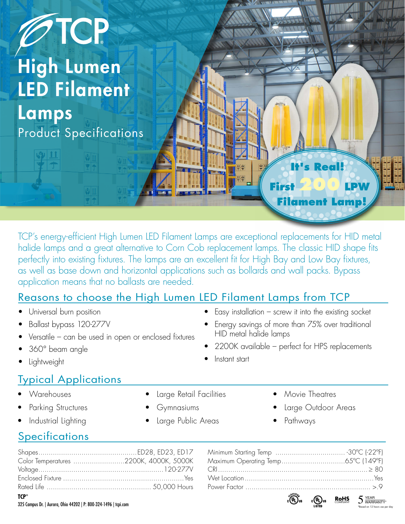

TCP's energy-efficient High Lumen LED Filament Lamps are exceptional replacements for HID metal halide lamps and a great alternative to Corn Cob replacement lamps. The classic HID shape fits perfectly into existing fixtures. The lamps are an excellent fit for High Bay and Low Bay fixtures, as well as base down and horizontal applications such as bollards and wall packs. Bypass application means that no ballasts are needed.

## Reasons to choose the High Lumen LED Filament Lamps from TCP

- Universal burn position
- Ballast bypass 120-277V
- Versatile can be used in open or enclosed fixtures
- 360° beam angle
- **Lightweight**

## Typical Applications

- Warehouses
- Parking Structures
- Industrial Lighting
- Large Retail Facilities
- Gymnasiums
- Large Public Areas
- Movie Theatres
- Large Outdoor Areas
- Pathways

 $E$ asy installation – screw it into the existing socket • Energy savings of more than 75% over traditional

• 2200K available – perfect for HPS replacements

HID metal halide lamps

• Instant start

## **Specifications**

|         | Color Temperatures 2200K, 4000K, 5000K |
|---------|----------------------------------------|
|         |                                        |
|         |                                        |
|         |                                        |
| $TCP^*$ |                                        |

| $\mathcal{L}^{\text{NSSE}}$ and $\mathcal{L}^{\text{NSSE}}$ and $\mathcal{L}^{\text{NSSE}}$ |
|---------------------------------------------------------------------------------------------|

325 Campus Dr. | Aurora, Ohio 44202 | P: 800-324-1496 | tcpi.com